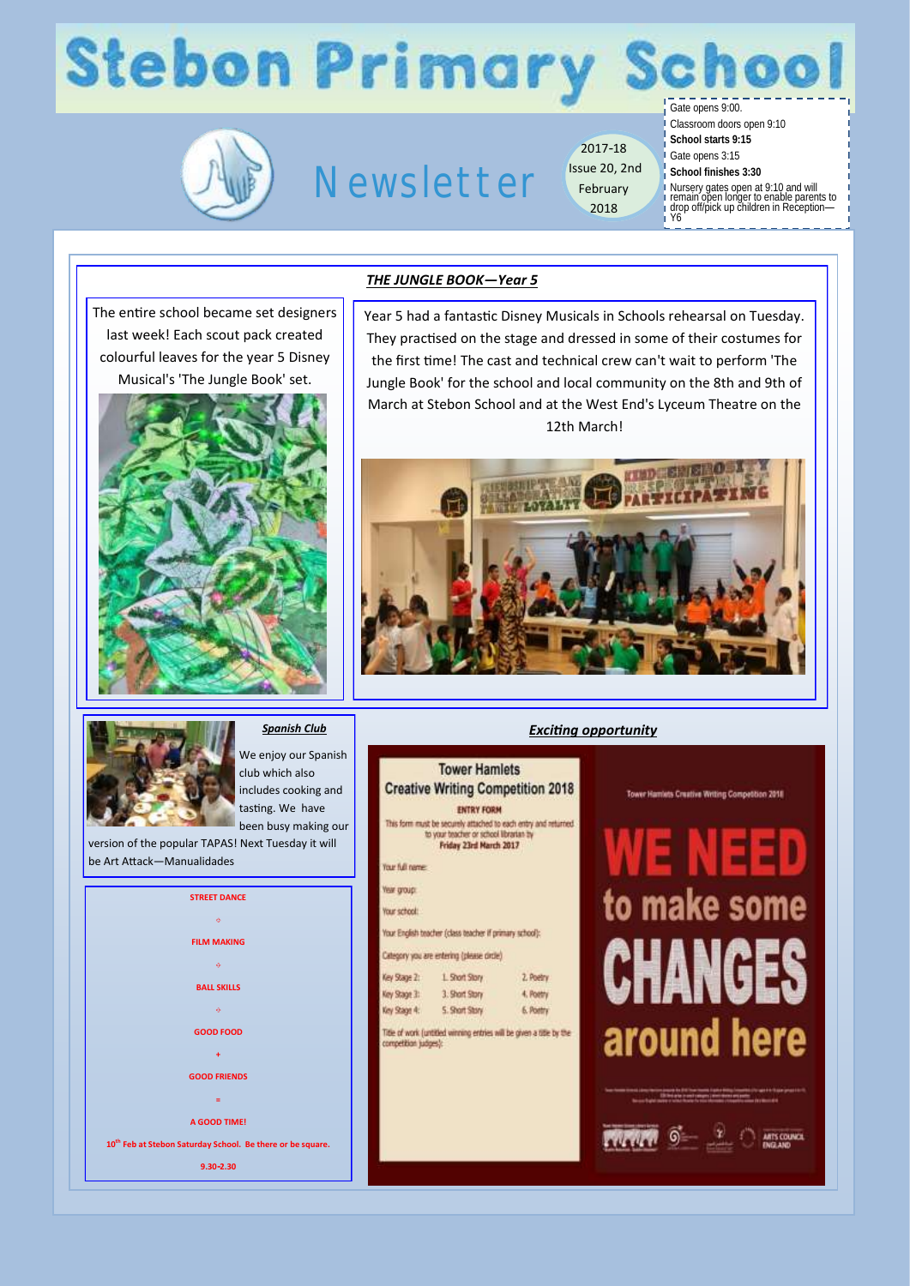## **Stebon Primary Schoo**



## Newsletter

2017-18 Issue 20, 2nd February 2018

Gate opens 9:00. Classroom doors open 9:10

**School starts 9:15** Gate opens 3:15

**School finishes 3:30**

Nursery gates open at 9:10 and will remain open longer to enable parents to drop off/pick up children in Reception— Y6

The entire school became set designers last week! Each scout pack created colourful leaves for the year 5 Disney Musical's 'The Jungle Book' set.



### *THE JUNGLE BOOK—Year 5*

Year 5 had a fantastic Disney Musicals in Schools rehearsal on Tuesday. They practised on the stage and dressed in some of their costumes for the first time! The cast and technical crew can't wait to perform 'The Jungle Book' for the school and local community on the 8th and 9th of March at Stebon School and at the West End's Lyceum Theatre on the 12th March!



*Exciting opportunity* 



*Spanish Club*

We enjoy our Spanish club which also includes cooking and tasting. We have been busy making our

version of the popular TAPAS! Next Tuesday it will be Art Attack—Manualidades



| <b>Tower Hamlets</b><br><b>Creative Writing Competition 2018</b>                                                                                         |                |                                                                      |
|----------------------------------------------------------------------------------------------------------------------------------------------------------|----------------|----------------------------------------------------------------------|
| <b>ENTRY FORM</b><br>This form must be securely attached to each entry and returned.<br>to your teacher or school librarian by<br>Friday 23rd March 2017 |                |                                                                      |
| Your full name:                                                                                                                                          |                |                                                                      |
| Year group:                                                                                                                                              |                |                                                                      |
| Your school:                                                                                                                                             |                |                                                                      |
| Your English teacher (class teacher if primary school):                                                                                                  |                |                                                                      |
| Category you are entering (please circle)                                                                                                                |                |                                                                      |
| Key Stage 2:                                                                                                                                             | 1. Short Story | 2. Poetry                                                            |
| Key Stage 3:                                                                                                                                             | 3. Short Story | 4. Poetry                                                            |
| Key Scage 4:                                                                                                                                             | 5. Short Story | 6. Pontry                                                            |
| competition judges):                                                                                                                                     |                | Title of work (untitled winning entries will be given a title by the |

NEED to make some CHANGES around here

 $\vec{S}$   $\vec{r}$   $\vec{r}$ 

ARTS COUNCIL

Tower Hamlets Creative Writing Competition 2018